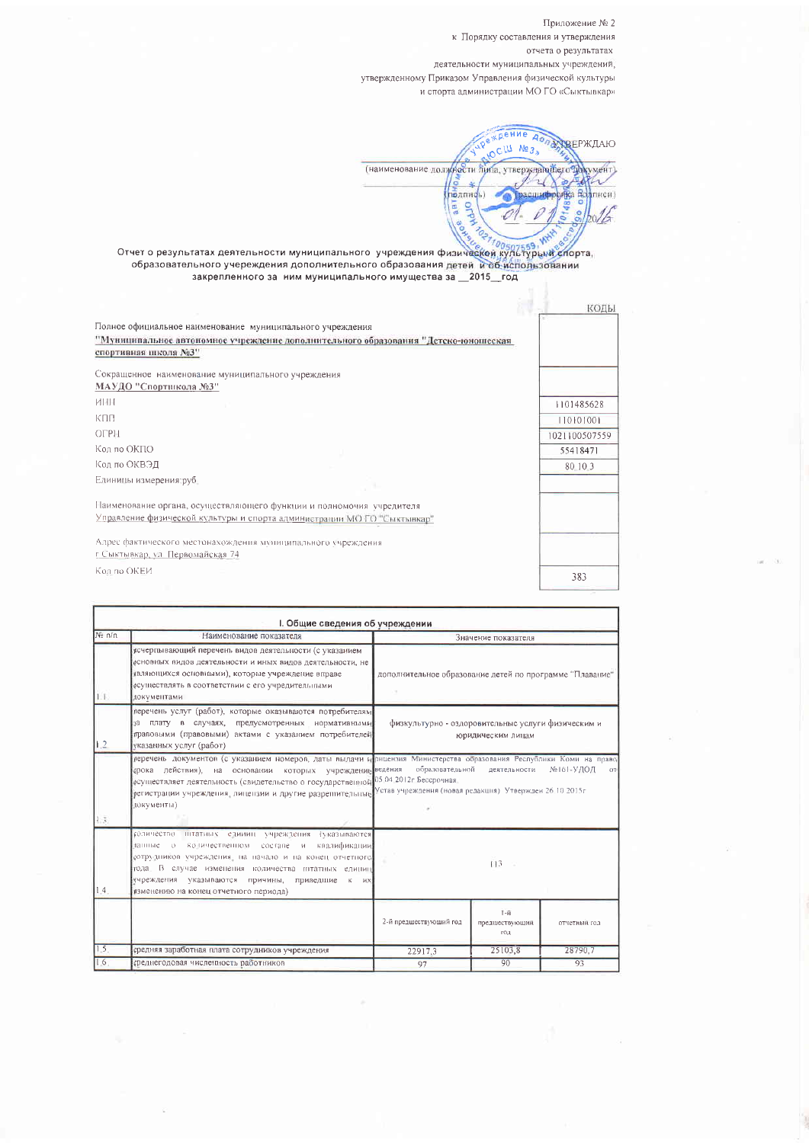Приложение № 2 к Порядку составления и утверждения отчета о результатах деятельности муниципальных учреждений, утвержденному Приказом Управления физической культуры и спорта администрации МО ГО «Сыктывкар»

«дение  $A<sub>0</sub>$ RECILI NO 3 ПАККЕРЖДАЮ (наименование должности липа, утверждающего документ)  $0 - 6$  $\sim$  $\mathcal{L}$ **Example 1 OFRA BOATHICH**  $0148$  $\frac{8}{2}$ 0  $b_0/4$ **CONTRO** 

Отчет о результатах деятельности муниципального учреждения физической культурым спорта,<br>образовательного учереждения дополнительного образования детей и об испорта,<br>закрепленного за ним муниципального имущества за \_2015\_г

| Полное официальное наименование муниципального учреждения<br>"Муниципальное автономное учреждение дополнительного образования "Детско-юношеская<br>спортивная школа №3"<br>Сокращенное наименование муниципального учреждения<br>МАУДО "Спортшкола №3"<br>ИНН |               |
|---------------------------------------------------------------------------------------------------------------------------------------------------------------------------------------------------------------------------------------------------------------|---------------|
|                                                                                                                                                                                                                                                               |               |
|                                                                                                                                                                                                                                                               |               |
|                                                                                                                                                                                                                                                               |               |
|                                                                                                                                                                                                                                                               |               |
|                                                                                                                                                                                                                                                               |               |
|                                                                                                                                                                                                                                                               | 1101485628    |
| КПП                                                                                                                                                                                                                                                           | 110101001     |
| OFPH                                                                                                                                                                                                                                                          | 1021100507559 |
| Код по ОКПО                                                                                                                                                                                                                                                   | 55418471      |
| Код по ОКВЭД                                                                                                                                                                                                                                                  | 80 10 3       |
| Единицы измерения: руб.                                                                                                                                                                                                                                       |               |
| Паименование органа, осуществляющего функции и полномочия учредителя                                                                                                                                                                                          |               |
| Управление физической культуры и спорта администрации МОТО "Сыктывкар"                                                                                                                                                                                        |               |
| Адрес фактического местонахождения муниципального учреждения                                                                                                                                                                                                  |               |
| г Сыктывкар, ул. Первомайская 74                                                                                                                                                                                                                              |               |
| Код по ОКЕИ                                                                                                                                                                                                                                                   | 383           |

|        | І. Общие сведения об учреждении                                                                                                                                                                                                                                                                                    |                                                                                                                                                                                                                                                                                                                                                                                                                                       |                                                 |              |  |
|--------|--------------------------------------------------------------------------------------------------------------------------------------------------------------------------------------------------------------------------------------------------------------------------------------------------------------------|---------------------------------------------------------------------------------------------------------------------------------------------------------------------------------------------------------------------------------------------------------------------------------------------------------------------------------------------------------------------------------------------------------------------------------------|-------------------------------------------------|--------------|--|
| No n/n | Наименование показателя                                                                                                                                                                                                                                                                                            | Значение показателя<br>дополнительное образование детей по программе "Плавание"<br>физкультурно - оздоровительные услуги физическим и<br>юридическим лицам<br>перечень документов (с указанием номеров, даты выдачи и лицензия Министерства образования Республики Коми на право<br>образовательной<br>№161-УДОД<br>деятельности<br>OT.<br>05 04 2012г Бессрочная.<br>Устав учреждения (новая редакция) Утвержден 26 10 2015г.<br>113 |                                                 |              |  |
| LL.    | исчерпывающий перечень видов деятельности (с указанием<br>основных видов деятельности и иных видов деятельности, не<br>являющихся основными), которые учреждение вправе<br>осуществлять в соответствии с его учредительными<br>документами                                                                         |                                                                                                                                                                                                                                                                                                                                                                                                                                       |                                                 |              |  |
| 12     | перечень услуг (работ), которые оказываются потребителям<br>за плату в случаях, предусмотренных нормативными<br>правовыми (правовыми) актами с указанием потребителей<br>указанных услуг (работ)                                                                                                                   |                                                                                                                                                                                                                                                                                                                                                                                                                                       |                                                 |              |  |
| 1.3.   | срока действия), на основании которых учреждение ведения<br>осуществляет деятельность (свидетельство о государственной<br>регистрации учреждения, лицензии и другие разрешительные<br>локументы)                                                                                                                   |                                                                                                                                                                                                                                                                                                                                                                                                                                       |                                                 |              |  |
| 1.4.   | количество штатных единиц учреждения (указываются<br>квалификации<br>данные о количественном составе и<br>сотрудников учреждения, на начало и на конец отчетного<br>года. В случае изменения количества пітатных единиц<br>учреждения указываются причины, приведшие к их<br>изменению на конец отчетного периода) |                                                                                                                                                                                                                                                                                                                                                                                                                                       |                                                 |              |  |
|        |                                                                                                                                                                                                                                                                                                                    | 2-й предшествующий год                                                                                                                                                                                                                                                                                                                                                                                                                | $L - \tilde{H}$<br>предшествующий<br><b>COT</b> | отчетный год |  |
| 1.5    | средняя заработная плата сотрудников учреждения                                                                                                                                                                                                                                                                    | 22917.3                                                                                                                                                                                                                                                                                                                                                                                                                               | 25103,8                                         | 28790.7      |  |
| 16     | среднегодовая численность работников                                                                                                                                                                                                                                                                               | 97                                                                                                                                                                                                                                                                                                                                                                                                                                    | 90                                              | 93           |  |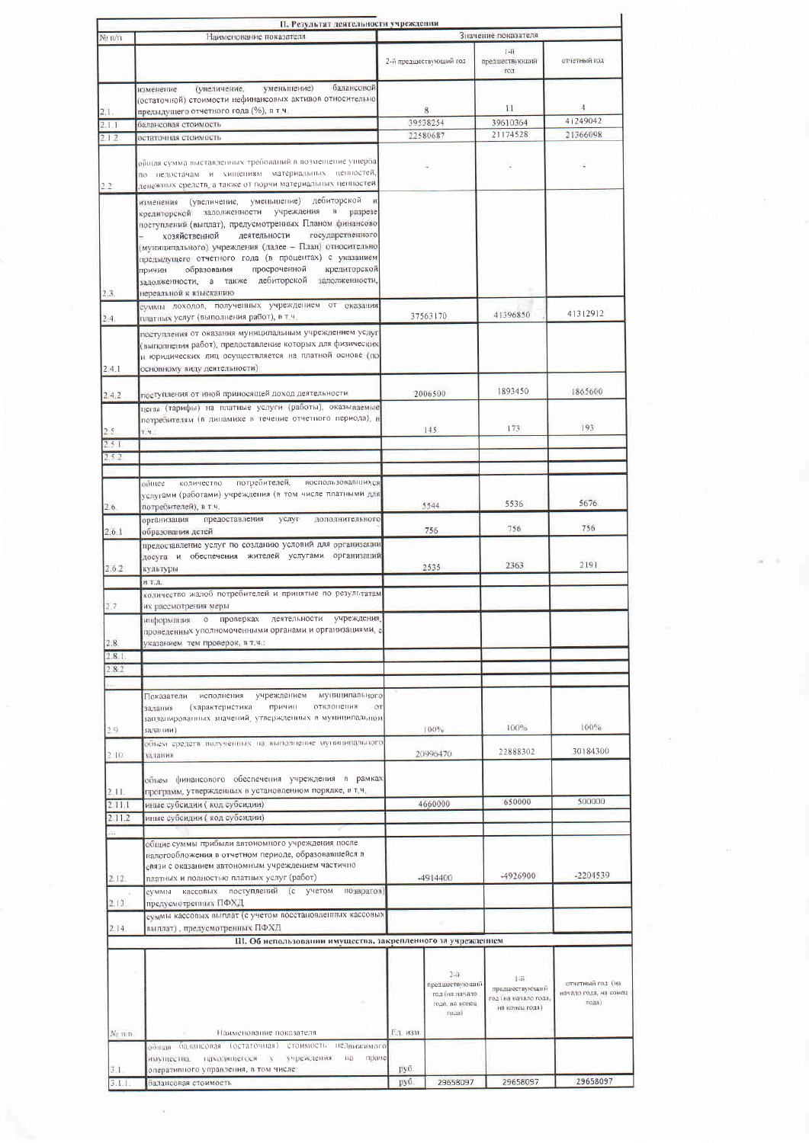|                    | П. Результат деятельности учреждения                                                                                                                                                                                                                                                                                                                                                                                                                                                                               |                     |                                                                            |                                                                   |                                                        |
|--------------------|--------------------------------------------------------------------------------------------------------------------------------------------------------------------------------------------------------------------------------------------------------------------------------------------------------------------------------------------------------------------------------------------------------------------------------------------------------------------------------------------------------------------|---------------------|----------------------------------------------------------------------------|-------------------------------------------------------------------|--------------------------------------------------------|
| N <sub>2</sub> π/π | Наименование показателя                                                                                                                                                                                                                                                                                                                                                                                                                                                                                            | Значение показателя |                                                                            |                                                                   |                                                        |
|                    |                                                                                                                                                                                                                                                                                                                                                                                                                                                                                                                    |                     | 2-й предшествующий год                                                     | $1 - H$<br>предшествующий<br>PO1                                  | отчетный год                                           |
|                    | балансовой<br>уменьшение)<br>(увеличение,<br>изменение<br>(остаточной) стоимости нефинансовых активов относительно                                                                                                                                                                                                                                                                                                                                                                                                 |                     |                                                                            | $\mathbb{H}$                                                      | 4                                                      |
| 2.1.               | предыдущего отчетного года (%), в т.ч.                                                                                                                                                                                                                                                                                                                                                                                                                                                                             |                     | 8<br>39538254                                                              | 39610364                                                          | 41249042                                               |
| 2, 1, 1<br>2.12    | балансовая стоимость<br>остаточная стоимость                                                                                                                                                                                                                                                                                                                                                                                                                                                                       |                     | 22580687                                                                   | 21174528                                                          | 21366098                                               |
|                    |                                                                                                                                                                                                                                                                                                                                                                                                                                                                                                                    |                     |                                                                            |                                                                   |                                                        |
| 2.2.               | общая сумма выставленных требований в возмещение ущерба<br>по недостачам и хищениям материальных ценностей,<br>ценежных средств, а также от порчи материальных ценностей                                                                                                                                                                                                                                                                                                                                           |                     |                                                                            |                                                                   |                                                        |
| 2.3.               | (увеличение, уменьшение) дебиторской<br>$\boldsymbol{\mathcal{H}}$<br>изменения<br>кредиторской задолженности учреждения<br>в разрезе<br>поступлений (выплат), предусмотренных Планом финансово<br>государственного<br>хозяйственной<br>деятельности<br>(муниципального) учреждения (далее - План) относительно<br>предыдущего отчетного года (в процентах) с указанием<br>просроченной<br>кредиторской<br>образования<br>причин<br>залолженности, а также дебиторской<br>задолженности,<br>нереальной к взысканию |                     |                                                                            |                                                                   |                                                        |
|                    | суммы доходов, полученных учреждением от оказания                                                                                                                                                                                                                                                                                                                                                                                                                                                                  |                     |                                                                            | 41396850                                                          | 41312912                                               |
| 2.4.<br>2.4.1      | платных услуг (выполнения работ), в т.ч.<br>поступления от оказания муниципальным учреждением услуг<br>(выполнения работ), предоставление которых для физических<br>и юридических лиц осуществляется на платной основе (по<br>основному виду деятельности)                                                                                                                                                                                                                                                         | 37563170            |                                                                            |                                                                   |                                                        |
| 2.4.2              | поступления от иной приносящей доход деятельности                                                                                                                                                                                                                                                                                                                                                                                                                                                                  |                     | 2006500                                                                    | 1893450                                                           | 1865600                                                |
|                    | цены (тарифы) на платные услуги (работы), оказываемые<br>потребителям (в динамике в течение отчетного периода), в                                                                                                                                                                                                                                                                                                                                                                                                  |                     |                                                                            |                                                                   |                                                        |
| 2.5.               | T.H.                                                                                                                                                                                                                                                                                                                                                                                                                                                                                                               |                     | 145                                                                        | 173                                                               | 193                                                    |
| 251                |                                                                                                                                                                                                                                                                                                                                                                                                                                                                                                                    |                     |                                                                            |                                                                   |                                                        |
| 2.5.2              |                                                                                                                                                                                                                                                                                                                                                                                                                                                                                                                    |                     |                                                                            |                                                                   |                                                        |
|                    |                                                                                                                                                                                                                                                                                                                                                                                                                                                                                                                    |                     |                                                                            |                                                                   |                                                        |
| 2.6                | потребителей,<br>поспользовавшихся<br>количество<br>общее<br>услугами (работами) учреждения (в том числе платными для<br>потребителей), в т.ч.                                                                                                                                                                                                                                                                                                                                                                     | 5544                |                                                                            | 5536                                                              | 5676                                                   |
|                    | дополнительного<br>предоставления<br>услуг<br>организация                                                                                                                                                                                                                                                                                                                                                                                                                                                          |                     |                                                                            | 756                                                               | 756                                                    |
| 2.6.1              | образования детей<br>предоставление услуг по созданию условий для организации                                                                                                                                                                                                                                                                                                                                                                                                                                      |                     | 756                                                                        |                                                                   |                                                        |
| 2.6.2              | досуга и обеспечения жителей услугами организаций<br>культуры                                                                                                                                                                                                                                                                                                                                                                                                                                                      | 2535                |                                                                            | 2363                                                              | 2191                                                   |
|                    | и тл.                                                                                                                                                                                                                                                                                                                                                                                                                                                                                                              |                     |                                                                            |                                                                   |                                                        |
|                    | количество жалоб потребителей и принятые по результатам                                                                                                                                                                                                                                                                                                                                                                                                                                                            |                     |                                                                            |                                                                   |                                                        |
| 2.7                | их рассмотрения меры<br>деятельности учреждения.<br>о проперках<br>информация<br>проведенных уполномоченными органами и организациями, с                                                                                                                                                                                                                                                                                                                                                                           |                     |                                                                            |                                                                   |                                                        |
| 2.8.               | указанием тем проверок, в т.ч.:                                                                                                                                                                                                                                                                                                                                                                                                                                                                                    |                     |                                                                            |                                                                   |                                                        |
| 2.8.1              |                                                                                                                                                                                                                                                                                                                                                                                                                                                                                                                    |                     |                                                                            |                                                                   |                                                        |
| 2.8.2              |                                                                                                                                                                                                                                                                                                                                                                                                                                                                                                                    |                     |                                                                            |                                                                   |                                                        |
|                    |                                                                                                                                                                                                                                                                                                                                                                                                                                                                                                                    |                     |                                                                            |                                                                   |                                                        |
|                    | муницилального<br>учреждением<br>Показатели<br>исполнения<br>причин<br>отклонения<br>ОT<br>задания<br>(характеристика<br>запланированных значений, утвержденных в муниципальном                                                                                                                                                                                                                                                                                                                                    |                     |                                                                            | 100%                                                              | 100%                                                   |
| 29.                | залании)<br>объем средств подученных на выполнение муниципального                                                                                                                                                                                                                                                                                                                                                                                                                                                  |                     | 100%                                                                       |                                                                   |                                                        |
| 2:10.              | млания                                                                                                                                                                                                                                                                                                                                                                                                                                                                                                             | 20996470            |                                                                            | 22888302                                                          | 30184300                                               |
| 2.11.              | объем финансового обеспечения учреждения в рамках<br>программ, утвержденных в установленном порядке, в т.ч.                                                                                                                                                                                                                                                                                                                                                                                                        |                     |                                                                            |                                                                   |                                                        |
| 2.11.1             | иные субсидии ( код субсидии)                                                                                                                                                                                                                                                                                                                                                                                                                                                                                      | 4660000             |                                                                            | 650000                                                            | 500000                                                 |
| 2.11.2             | иные субсидии (код субсидии)                                                                                                                                                                                                                                                                                                                                                                                                                                                                                       |                     |                                                                            |                                                                   |                                                        |
|                    |                                                                                                                                                                                                                                                                                                                                                                                                                                                                                                                    |                     |                                                                            |                                                                   |                                                        |
|                    | общие суммы прибыли автономного учреждения после                                                                                                                                                                                                                                                                                                                                                                                                                                                                   |                     |                                                                            |                                                                   |                                                        |
|                    | налогообложения в отчетном периоде, образовавшейся в<br>связи с оказанием автономным учреждением частично                                                                                                                                                                                                                                                                                                                                                                                                          |                     |                                                                            |                                                                   |                                                        |
| 2.12.              | платных и полностью платных услуг (работ)                                                                                                                                                                                                                                                                                                                                                                                                                                                                          |                     | -4914400                                                                   | -4926900                                                          | -2204539                                               |
|                    | суммы кассовых поступлений (с учетом<br>возвратов)                                                                                                                                                                                                                                                                                                                                                                                                                                                                 |                     |                                                                            |                                                                   |                                                        |
| 2.13.              | предусмотренных ПФХД                                                                                                                                                                                                                                                                                                                                                                                                                                                                                               |                     |                                                                            |                                                                   |                                                        |
|                    | суммы кассовых выплат (с учетом восстановленных кассовых                                                                                                                                                                                                                                                                                                                                                                                                                                                           |                     |                                                                            |                                                                   |                                                        |
| 2.14.              | выплат) , предусмотренных ПФХД<br>Ш. Об использовании имущества, закрепленного за учреждением                                                                                                                                                                                                                                                                                                                                                                                                                      |                     |                                                                            |                                                                   |                                                        |
|                    |                                                                                                                                                                                                                                                                                                                                                                                                                                                                                                                    |                     |                                                                            |                                                                   |                                                        |
|                    |                                                                                                                                                                                                                                                                                                                                                                                                                                                                                                                    |                     | $2 - n$<br>предшествующий<br>год (на начало<br>года, на конец<br>$T0.18$ ) | $-24$<br>предшествующий<br>год (на начало года,<br>на конец года) | отчетный год (на<br>начало года, на конец<br>$T0.13$ ) |
| N: nm              | Наименование показателя                                                                                                                                                                                                                                                                                                                                                                                                                                                                                            | Г.д. изм.           |                                                                            |                                                                   |                                                        |
| 3.1                | балансовая<br>(остаточная) стоимость недвижимого<br><b>COTTLER</b><br>iia.<br>праве<br>находящегося у<br>учреждения<br>имущества.<br>оперативного управления, в том числе                                                                                                                                                                                                                                                                                                                                          | py6.                |                                                                            |                                                                   |                                                        |
| 3.1.1              | балансовая стоимость                                                                                                                                                                                                                                                                                                                                                                                                                                                                                               | руб.                | 29658097                                                                   | 29658097                                                          | 29658097                                               |
|                    |                                                                                                                                                                                                                                                                                                                                                                                                                                                                                                                    |                     |                                                                            |                                                                   |                                                        |

 $\left\langle \cdot \right\rangle$